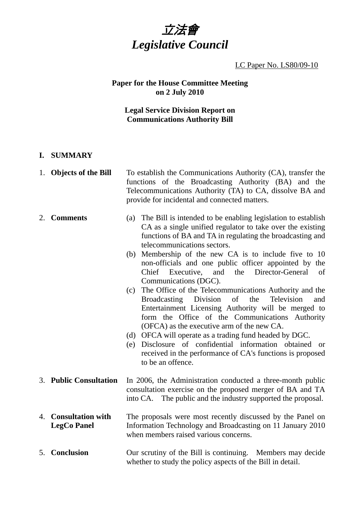

## LC Paper No. LS80/09-10

# **Paper for the House Committee Meeting on 2 July 2010**

# **Legal Service Division Report on Communications Authority Bill**

## **I. SUMMARY**

|    | 1. Objects of the Bill                         | To establish the Communications Authority (CA), transfer the<br>functions of the Broadcasting Authority (BA) and the<br>Telecommunications Authority (TA) to CA, dissolve BA and<br>provide for incidental and connected matters.                                                                                                                                                                                                                                                                                                                                                                                                                                                                                                                                                                                                                                                                                                         |
|----|------------------------------------------------|-------------------------------------------------------------------------------------------------------------------------------------------------------------------------------------------------------------------------------------------------------------------------------------------------------------------------------------------------------------------------------------------------------------------------------------------------------------------------------------------------------------------------------------------------------------------------------------------------------------------------------------------------------------------------------------------------------------------------------------------------------------------------------------------------------------------------------------------------------------------------------------------------------------------------------------------|
|    | 2. Comments                                    | (a) The Bill is intended to be enabling legislation to establish<br>CA as a single unified regulator to take over the existing<br>functions of BA and TA in regulating the broadcasting and<br>telecommunications sectors.<br>Membership of the new CA is to include five to 10<br>(b)<br>non-officials and one public officer appointed by the<br>Chief Executive, and the<br>Director-General<br>of<br>Communications (DGC).<br>(c) The Office of the Telecommunications Authority and the<br>Division<br><b>Broadcasting</b><br>of<br>the<br>Television<br>and<br>Entertainment Licensing Authority will be merged to<br>form the Office of the Communications Authority<br>(OFCA) as the executive arm of the new CA.<br>(d) OFCA will operate as a trading fund headed by DGC.<br>(e) Disclosure of confidential information obtained<br><b>or</b><br>received in the performance of CA's functions is proposed<br>to be an offence. |
|    | 3. Public Consultation                         | In 2006, the Administration conducted a three-month public<br>consultation exercise on the proposed merger of BA and TA<br>into CA. The public and the industry supported the proposal.                                                                                                                                                                                                                                                                                                                                                                                                                                                                                                                                                                                                                                                                                                                                                   |
| 4. | <b>Consultation with</b><br><b>LegCo Panel</b> | The proposals were most recently discussed by the Panel on<br>Information Technology and Broadcasting on 11 January 2010<br>when members raised various concerns.                                                                                                                                                                                                                                                                                                                                                                                                                                                                                                                                                                                                                                                                                                                                                                         |
|    | 5. Conclusion                                  | Our scrutiny of the Bill is continuing. Members may decide<br>whether to study the policy aspects of the Bill in detail.                                                                                                                                                                                                                                                                                                                                                                                                                                                                                                                                                                                                                                                                                                                                                                                                                  |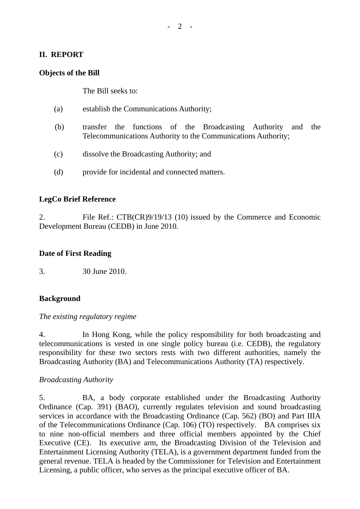## **II. REPORT**

### **Objects of the Bill**

The Bill seeks to:

- (a) establish the Communications Authority;
- (b) transfer the functions of the Broadcasting Authority and the Telecommunications Authority to the Communications Authority;
- (c) dissolve the Broadcasting Authority; and
- (d) provide for incidental and connected matters.

### **LegCo Brief Reference**

2. File Ref.: CTB(CR)9/19/13 (10) issued by the Commerce and Economic Development Bureau (CEDB) in June 2010.

#### **Date of First Reading**

3. 30 June 2010.

### **Background**

#### *The existing regulatory regime*

4. In Hong Kong, while the policy responsibility for both broadcasting and telecommunications is vested in one single policy bureau (i.e. CEDB), the regulatory responsibility for these two sectors rests with two different authorities, namely the Broadcasting Authority (BA) and Telecommunications Authority (TA) respectively.

#### *Broadcasting Authority*

5. BA, a body corporate established under the Broadcasting Authority Ordinance (Cap. 391) (BAO), currently regulates television and sound broadcasting services in accordance with the Broadcasting Ordinance (Cap. 562) (BO) and Part IIIA of the Telecommunications Ordinance (Cap. 106) (TO) respectively. BA comprises six to nine non-official members and three official members appointed by the Chief Executive (CE). Its executive arm, the Broadcasting Division of the Television and Entertainment Licensing Authority (TELA), is a government department funded from the general revenue. TELA is headed by the Commissioner for Television and Entertainment Licensing, a public officer, who serves as the principal executive officer of BA.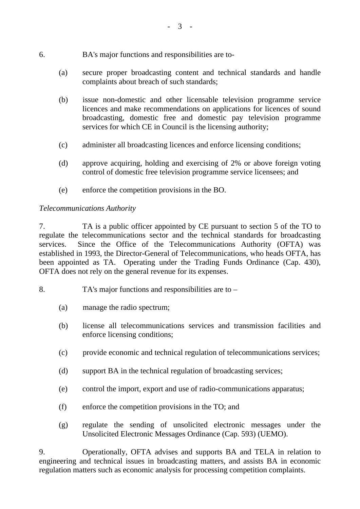- 6. BA's major functions and responsibilities are to-
	- (a) secure proper broadcasting content and technical standards and handle complaints about breach of such standards;
	- (b) issue non-domestic and other licensable television programme service licences and make recommendations on applications for licences of sound broadcasting, domestic free and domestic pay television programme services for which CE in Council is the licensing authority;
	- (c) administer all broadcasting licences and enforce licensing conditions;
	- (d) approve acquiring, holding and exercising of 2% or above foreign voting control of domestic free television programme service licensees; and
	- (e) enforce the competition provisions in the BO.

## *Telecommunications Authority*

7. TA is a public officer appointed by CE pursuant to section 5 of the TO to regulate the telecommunications sector and the technical standards for broadcasting services. Since the Office of the Telecommunications Authority (OFTA) was established in 1993, the Director-General of Telecommunications, who heads OFTA, has been appointed as TA. Operating under the Trading Funds Ordinance (Cap. 430), OFTA does not rely on the general revenue for its expenses.

- 8. TA's major functions and responsibilities are to
	- (a) manage the radio spectrum;
	- (b) license all telecommunications services and transmission facilities and enforce licensing conditions;
	- (c) provide economic and technical regulation of telecommunications services;
	- (d) support BA in the technical regulation of broadcasting services;
	- (e) control the import, export and use of radio-communications apparatus;
	- (f) enforce the competition provisions in the TO; and
	- (g) regulate the sending of unsolicited electronic messages under the Unsolicited Electronic Messages Ordinance (Cap. 593) (UEMO).

9. Operationally, OFTA advises and supports BA and TELA in relation to engineering and technical issues in broadcasting matters, and assists BA in economic regulation matters such as economic analysis for processing competition complaints.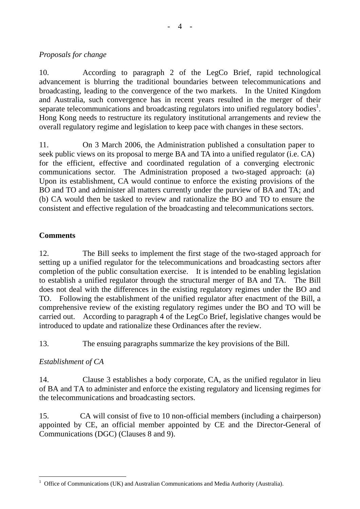# *Proposals for change*

10. According to paragraph 2 of the LegCo Brief, rapid technological advancement is blurring the traditional boundaries between telecommunications and broadcasting, leading to the convergence of the two markets. In the United Kingdom and Australia, such convergence has in recent years resulted in the merger of their separate telecommunications and broadcasting regulators into unified regulatory bodies<sup>1</sup>. Hong Kong needs to restructure its regulatory institutional arrangements and review the overall regulatory regime and legislation to keep pace with changes in these sectors.

11. On 3 March 2006, the Administration published a consultation paper to seek public views on its proposal to merge BA and TA into a unified regulator (i.e. CA) for the efficient, effective and coordinated regulation of a converging electronic communications sector. The Administration proposed a two-staged approach: (a) Upon its establishment, CA would continue to enforce the existing provisions of the BO and TO and administer all matters currently under the purview of BA and TA; and (b) CA would then be tasked to review and rationalize the BO and TO to ensure the consistent and effective regulation of the broadcasting and telecommunications sectors.

# **Comments**

12. The Bill seeks to implement the first stage of the two-staged approach for setting up a unified regulator for the telecommunications and broadcasting sectors after completion of the public consultation exercise. It is intended to be enabling legislation to establish a unified regulator through the structural merger of BA and TA. The Bill does not deal with the differences in the existing regulatory regimes under the BO and TO. Following the establishment of the unified regulator after enactment of the Bill, a comprehensive review of the existing regulatory regimes under the BO and TO will be carried out. According to paragraph 4 of the LegCo Brief, legislative changes would be introduced to update and rationalize these Ordinances after the review.

13. The ensuing paragraphs summarize the key provisions of the Bill.

# *Establishment of CA*

14. Clause 3 establishes a body corporate, CA, as the unified regulator in lieu of BA and TA to administer and enforce the existing regulatory and licensing regimes for the telecommunications and broadcasting sectors.

15. CA will consist of five to 10 non-official members (including a chairperson) appointed by CE, an official member appointed by CE and the Director-General of Communications (DGC) (Clauses 8 and 9).

 $\overline{a}$ <sup>1</sup> Office of Communications (UK) and Australian Communications and Media Authority (Australia).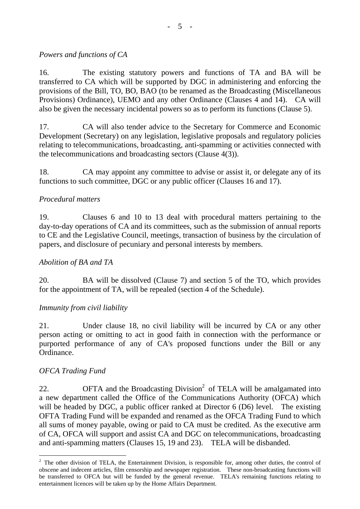# *Powers and functions of CA*

16. The existing statutory powers and functions of TA and BA will be transferred to CA which will be supported by DGC in administering and enforcing the provisions of the Bill, TO, BO, BAO (to be renamed as the Broadcasting (Miscellaneous Provisions) Ordinance), UEMO and any other Ordinance (Clauses 4 and 14). CA will also be given the necessary incidental powers so as to perform its functions (Clause 5).

17. CA will also tender advice to the Secretary for Commerce and Economic Development (Secretary) on any legislation, legislative proposals and regulatory policies relating to telecommunications, broadcasting, anti-spamming or activities connected with the telecommunications and broadcasting sectors (Clause 4(3)).

18. CA may appoint any committee to advise or assist it, or delegate any of its functions to such committee, DGC or any public officer (Clauses 16 and 17).

# *Procedural matters*

19. Clauses 6 and 10 to 13 deal with procedural matters pertaining to the day-to-day operations of CA and its committees, such as the submission of annual reports to CE and the Legislative Council, meetings, transaction of business by the circulation of papers, and disclosure of pecuniary and personal interests by members.

## *Abolition of BA and TA*

20. BA will be dissolved (Clause 7) and section 5 of the TO, which provides for the appointment of TA, will be repealed (section 4 of the Schedule).

## *Immunity from civil liability*

21. Under clause 18, no civil liability will be incurred by CA or any other person acting or omitting to act in good faith in connection with the performance or purported performance of any of CA's proposed functions under the Bill or any Ordinance.

## *OFCA Trading Fund*

 $\overline{a}$ 

22.  $OFTA$  and the Broadcasting Division<sup>2</sup> of TELA will be amalgamated into a new department called the Office of the Communications Authority (OFCA) which will be headed by DGC, a public officer ranked at Director 6 (D6) level. The existing OFTA Trading Fund will be expanded and renamed as the OFCA Trading Fund to which all sums of money payable, owing or paid to CA must be credited. As the executive arm of CA, OFCA will support and assist CA and DGC on telecommunications, broadcasting and anti-spamming matters (Clauses 15, 19 and 23). TELA will be disbanded.

 $2$  The other division of TELA, the Entertainment Division, is responsible for, among other duties, the control of obscene and indecent articles, film censorship and newspaper registration. These non-broadcasting functions will be transferred to OFCA but will be funded by the general revenue. TELA's remaining functions relating to entertainment licences will be taken up by the Home Affairs Department.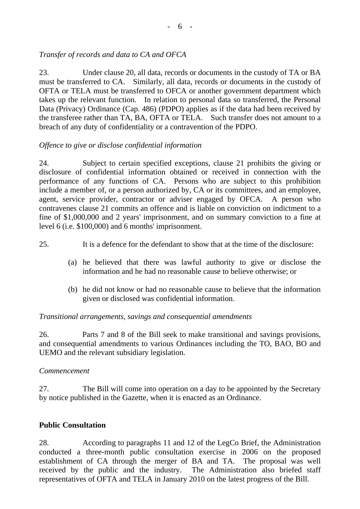# *Transfer of records and data to CA and OFCA*

23. Under clause 20, all data, records or documents in the custody of TA or BA must be transferred to CA. Similarly, all data, records or documents in the custody of OFTA or TELA must be transferred to OFCA or another government department which takes up the relevant function. In relation to personal data so transferred, the Personal Data (Privacy) Ordinance (Cap. 486) (PDPO) applies as if the data had been received by the transferee rather than TA, BA, OFTA or TELA. Such transfer does not amount to a breach of any duty of confidentiality or a contravention of the PDPO.

## *Offence to give or disclose confidential information*

24. Subject to certain specified exceptions, clause 21 prohibits the giving or disclosure of confidential information obtained or received in connection with the performance of any functions of CA. Persons who are subject to this prohibition include a member of, or a person authorized by, CA or its committees, and an employee, agent, service provider, contractor or adviser engaged by OFCA. A person who contravenes clause 21 commits an offence and is liable on conviction on indictment to a fine of \$1,000,000 and 2 years' imprisonment, and on summary conviction to a fine at level 6 (i.e. \$100,000) and 6 months' imprisonment.

- 25. It is a defence for the defendant to show that at the time of the disclosure:
	- (a) he believed that there was lawful authority to give or disclose the information and he had no reasonable cause to believe otherwise; or
	- (b) he did not know or had no reasonable cause to believe that the information given or disclosed was confidential information.

### *Transitional arrangements, savings and consequential amendments*

26. Parts 7 and 8 of the Bill seek to make transitional and savings provisions, and consequential amendments to various Ordinances including the TO, BAO, BO and UEMO and the relevant subsidiary legislation.

### *Commencement*

27. The Bill will come into operation on a day to be appointed by the Secretary by notice published in the Gazette, when it is enacted as an Ordinance.

### **Public Consultation**

28. According to paragraphs 11 and 12 of the LegCo Brief, the Administration conducted a three-month public consultation exercise in 2006 on the proposed establishment of CA through the merger of BA and TA. The proposal was well received by the public and the industry. The Administration also briefed staff representatives of OFTA and TELA in January 2010 on the latest progress of the Bill.